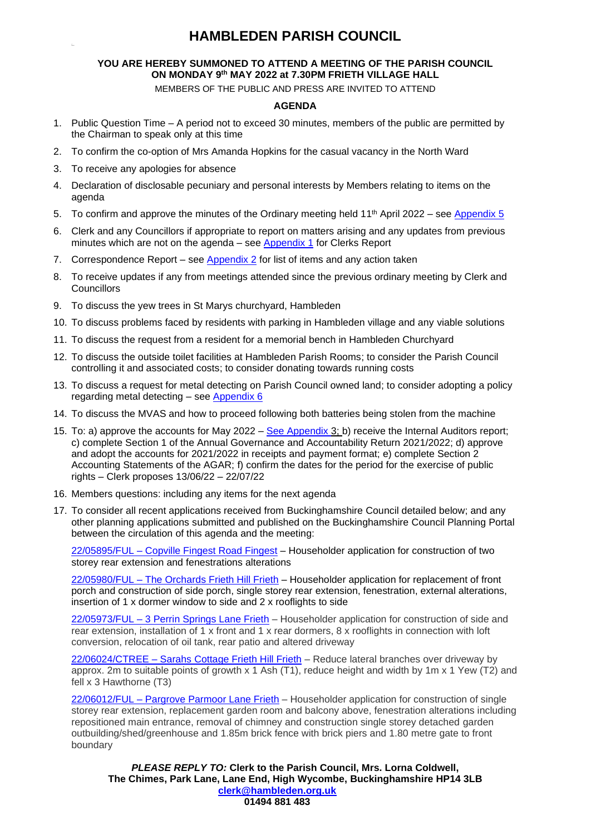#### **YOU ARE HEREBY SUMMONED TO ATTEND A MEETING OF THE PARISH COUNCIL ON MONDAY 9 th MAY 2022 at 7.30PM FRIETH VILLAGE HALL**

MEMBERS OF THE PUBLIC AND PRESS ARE INVITED TO ATTEND

#### **AGENDA**

- 1. Public Question Time A period not to exceed 30 minutes, members of the public are permitted by the Chairman to speak only at this time
- 2. To confirm the co-option of Mrs Amanda Hopkins for the casual vacancy in the North Ward
- 3. To receive any apologies for absence
- 4. Declaration of disclosable pecuniary and personal interests by Members relating to items on the agenda
- 5. To confirm and approve the minutes of the Ordinary meeting held 11<sup>th</sup> April 2022 see [Appendix 5](#page-3-0)
- 6. Clerk and any Councillors if appropriate to report on matters arising and any updates from previous minutes which are not on the agenda – see [Appendix 1](#page-2-0) for Clerks Report
- 7. Correspondence Report see [Appendix 2](#page-2-1) for list of items and any action taken
- 8. To receive updates if any from meetings attended since the previous ordinary meeting by Clerk and **Councillors**
- 9. To discuss the yew trees in St Marys churchyard, Hambleden
- 10. To discuss problems faced by residents with parking in Hambleden village and any viable solutions
- 11. To discuss the request from a resident for a memorial bench in Hambleden Churchyard
- 12. To discuss the outside toilet facilities at Hambleden Parish Rooms; to consider the Parish Council controlling it and associated costs; to consider donating towards running costs
- 13. To discuss a request for metal detecting on Parish Council owned land; to consider adopting a policy regarding metal detecting – see [Appendix 6](#page-3-1)
- 14. To discuss the MVAS and how to proceed following both batteries being stolen from the machine
- 15. To: a) approve the accounts for May 2022 [See Appendix 3;](#page-2-2) b) receive the Internal Auditors report; c) complete Section 1 of the Annual Governance and Accountability Return 2021/2022; d) approve and adopt the accounts for 2021/2022 in receipts and payment format; e) complete Section 2 Accounting Statements of the AGAR; f) confirm the dates for the period for the exercise of public rights – Clerk proposes 13/06/22 – 22/07/22
- 16. Members questions: including any items for the next agenda
- 17. To consider all recent applications received from Buckinghamshire Council detailed below; and any other planning applications submitted and published on the Buckinghamshire Council Planning Portal between the circulation of this agenda and the meeting:

22/05895/FUL – [Copville Fingest Road Fingest](https://publicaccess.wycombe.gov.uk/idoxpa-web/applicationDetails.do?activeTab=documents&keyVal=R9NBEWSCGOM00) – Householder application for construction of two storey rear extension and fenestrations alterations

22/05980/FUL - [The Orchards Frieth Hill Frieth](https://publicaccess.wycombe.gov.uk/idoxpa-web/applicationDetails.do?activeTab=documents&keyVal=RA0A4HSCGUU00) - Householder application for replacement of front porch and construction of side porch, single storey rear extension, fenestration, external alterations, insertion of 1 x dormer window to side and 2 x rooflights to side

22/05973/FUL – [3 Perrin Springs Lane Frieth](https://publicaccess.wycombe.gov.uk/idoxpa-web/applicationDetails.do?activeTab=documents&keyVal=RA0A1MSCGUG00) – Householder application for construction of side and rear extension, installation of 1 x front and 1 x rear dormers, 8 x rooflights in connection with loft conversion, relocation of oil tank, rear patio and altered driveway

22/06024/CTREE – [Sarahs Cottage Frieth Hill Frieth](https://publicaccess.wycombe.gov.uk/idoxpa-web/applicationDetails.do?activeTab=documents&keyVal=RA7Z3SSC0QB00) – Reduce lateral branches over driveway by approx. 2m to suitable points of growth x 1 Ash (T1), reduce height and width by 1m x 1 Yew (T2) and fell x 3 Hawthorne (T3)

22/06012/FUL – [Pargrove Parmoor Lane Frieth](https://publicaccess.wycombe.gov.uk/idoxpa-web/applicationDetails.do?activeTab=documents&keyVal=RA7OO2SCGX000) – Householder application for construction of single storey rear extension, replacement garden room and balcony above, fenestration alterations including repositioned main entrance, removal of chimney and construction single storey detached garden outbuilding/shed/greenhouse and 1.85m brick fence with brick piers and 1.80 metre gate to front boundary

*PLEASE REPLY TO:* **Clerk to the Parish Council, Mrs. Lorna Coldwell, The Chimes, Park Lane, Lane End, High Wycombe, Buckinghamshire HP14 3LB [clerk@hambleden.org.uk](mailto:clerk@hambleden.org.uk) 01494 881 483**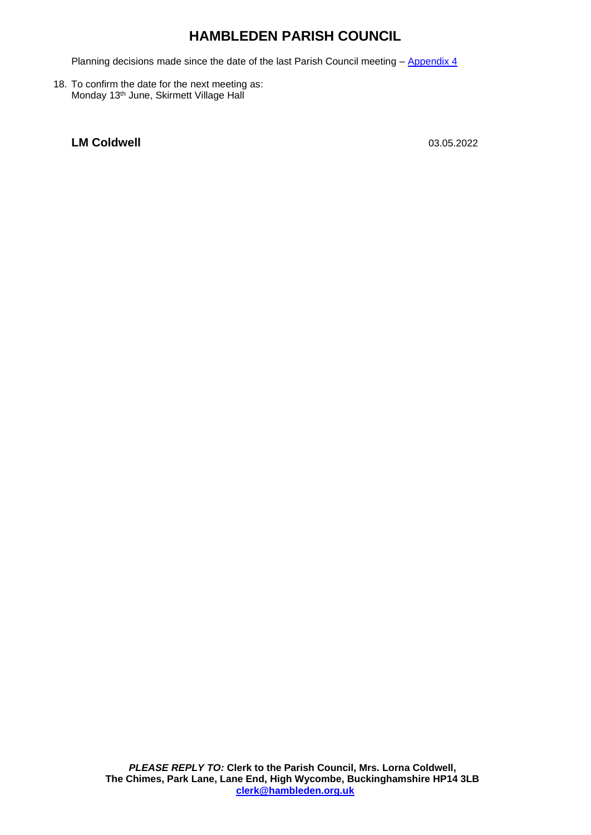Planning decisions made since the date of the last Parish Council meeting – [Appendix 4](#page-3-2)

18. To confirm the date for the next meeting as: Monday 13<sup>th</sup> June, Skirmett Village Hall

# **LM Coldwell** 03.05.2022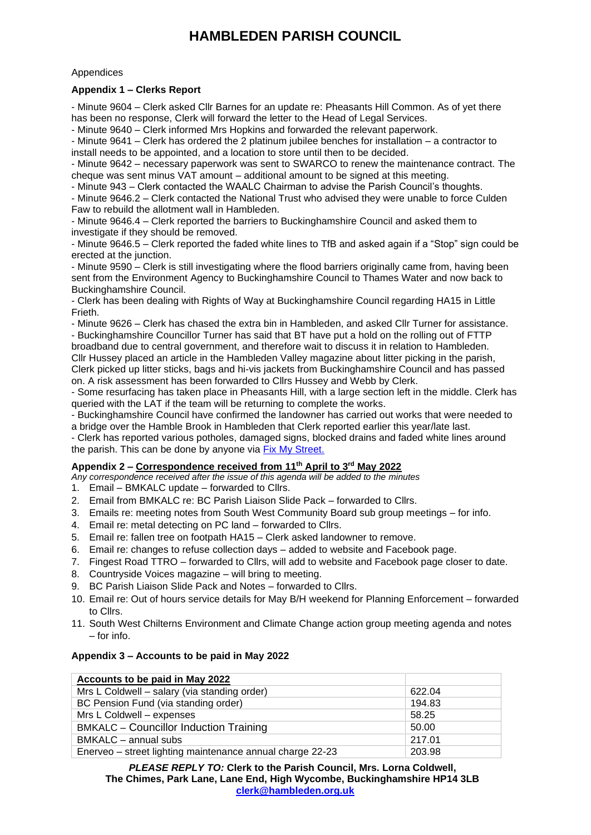#### **Appendices**

#### <span id="page-2-0"></span>**Appendix 1 – Clerks Report**

- Minute 9604 – Clerk asked Cllr Barnes for an update re: Pheasants Hill Common. As of yet there has been no response, Clerk will forward the letter to the Head of Legal Services.

- Minute 9640 – Clerk informed Mrs Hopkins and forwarded the relevant paperwork.

- Minute 9641 – Clerk has ordered the 2 platinum jubilee benches for installation – a contractor to install needs to be appointed, and a location to store until then to be decided.

- Minute 9642 – necessary paperwork was sent to SWARCO to renew the maintenance contract. The cheque was sent minus VAT amount – additional amount to be signed at this meeting.

- Minute 943 – Clerk contacted the WAALC Chairman to advise the Parish Council's thoughts.

- Minute 9646.2 – Clerk contacted the National Trust who advised they were unable to force Culden Faw to rebuild the allotment wall in Hambleden.

- Minute 9646.4 – Clerk reported the barriers to Buckinghamshire Council and asked them to investigate if they should be removed.

- Minute 9646.5 – Clerk reported the faded white lines to TfB and asked again if a "Stop" sign could be erected at the junction.

- Minute 9590 – Clerk is still investigating where the flood barriers originally came from, having been sent from the Environment Agency to Buckinghamshire Council to Thames Water and now back to Buckinghamshire Council.

- Clerk has been dealing with Rights of Way at Buckinghamshire Council regarding HA15 in Little Frieth.

- Minute 9626 – Clerk has chased the extra bin in Hambleden, and asked Cllr Turner for assistance.

- Buckinghamshire Councillor Turner has said that BT have put a hold on the rolling out of FTTP broadband due to central government, and therefore wait to discuss it in relation to Hambleden. Cllr Hussey placed an article in the Hambleden Valley magazine about litter picking in the parish, Clerk picked up litter sticks, bags and hi-vis jackets from Buckinghamshire Council and has passed on. A risk assessment has been forwarded to Cllrs Hussey and Webb by Clerk.

- Some resurfacing has taken place in Pheasants Hill, with a large section left in the middle. Clerk has queried with the LAT if the team will be returning to complete the works.

- Buckinghamshire Council have confirmed the landowner has carried out works that were needed to a bridge over the Hamble Brook in Hambleden that Clerk reported earlier this year/late last.

- Clerk has reported various potholes, damaged signs, blocked drains and faded white lines around the parish. This can be done by anyone via [Fix My Street.](https://www.fixmystreet.com/)

#### <span id="page-2-1"></span>**Appendix 2 – Correspondence received from 11 th April to 3 rd May 2022**

*Any correspondence received after the issue of this agenda will be added to the minutes*

- 1. Email BMKALC update forwarded to Cllrs.
- 2. Email from BMKALC re: BC Parish Liaison Slide Pack forwarded to Cllrs.
- 3. Emails re: meeting notes from South West Community Board sub group meetings for info.
- 4. Email re: metal detecting on PC land forwarded to Cllrs.
- 5. Email re: fallen tree on footpath HA15 Clerk asked landowner to remove.
- 6. Email re: changes to refuse collection days added to website and Facebook page.
- 7. Fingest Road TTRO forwarded to Cllrs, will add to website and Facebook page closer to date.
- 8. Countryside Voices magazine will bring to meeting.
- 9. BC Parish Liaison Slide Pack and Notes forwarded to Cllrs.
- 10. Email re: Out of hours service details for May B/H weekend for Planning Enforcement forwarded to Cllrs.
- 11. South West Chilterns Environment and Climate Change action group meeting agenda and notes – for info.

#### <span id="page-2-2"></span>**Appendix 3 – Accounts to be paid in May 2022**

| Accounts to be paid in May 2022                           |        |
|-----------------------------------------------------------|--------|
| Mrs L Coldwell – salary (via standing order)              | 622.04 |
| BC Pension Fund (via standing order)                      | 194.83 |
| Mrs L Coldwell - expenses                                 | 58.25  |
| <b>BMKALC</b> – Councillor Induction Training             | 50.00  |
| BMKALC - annual subs                                      | 217.01 |
| Enerveo – street lighting maintenance annual charge 22-23 | 203.98 |

*PLEASE REPLY TO:* **Clerk to the Parish Council, Mrs. Lorna Coldwell, The Chimes, Park Lane, Lane End, High Wycombe, Buckinghamshire HP14 3LB [clerk@hambleden.org.uk](mailto:clerk@hambleden.org.uk)**